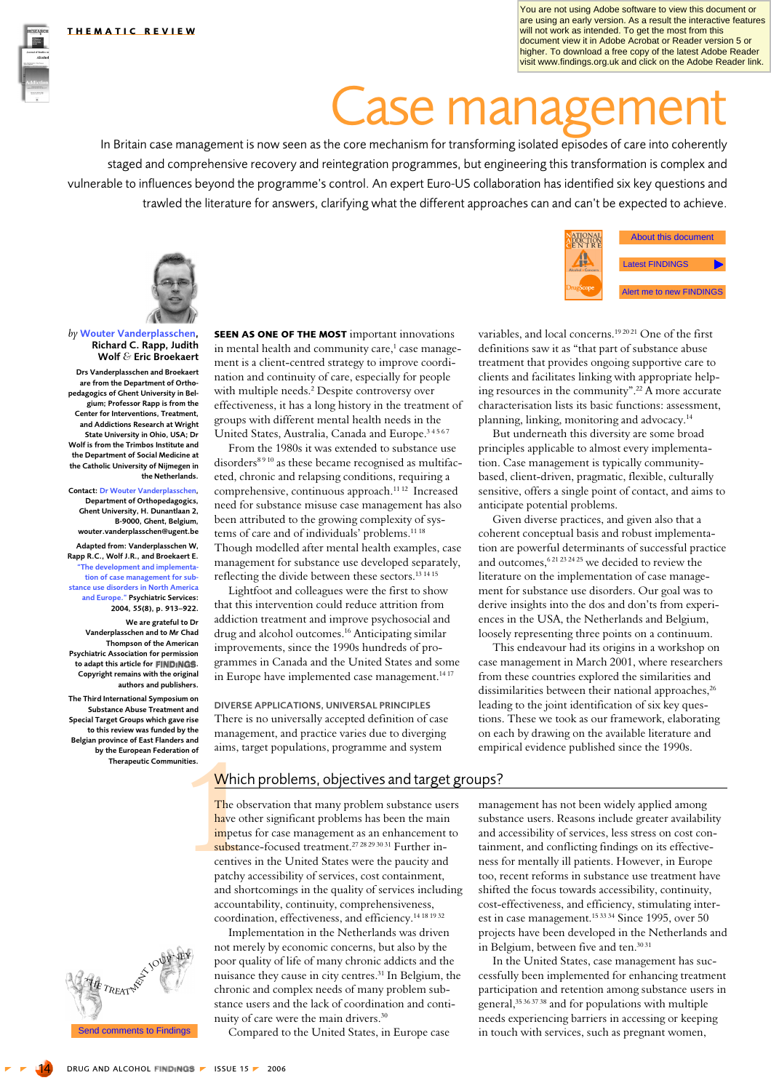You are not using Adobe software to view this document or are using an early version. As a result the interactive features will not work as intended. To get the most from this document view it in Adobe Acrobat or Reader version 5 or higher. To download a free copy of the latest Adobe Reader visit www.findings.org.uk and click on the Adobe Reader link.

# **Case managem**

In Britain case management is now seen as the core mechanism for transforming isolated episodes of care into coherently staged and comprehensive recovery and reintegration programmes, but engineering this transformation is complex and vulnerable to influences beyond the programme's control. An expert Euro-US collaboration has identified six key questions and © Drug ant Awlon the literature for answers, clarifying what the different approaches can and can't be expected to achieve.



by Wouter Vanderplasschen, Richard C. Rapp, Judith Wolf & Eric Broekaert

Drs Vanderplasschen and Broekaert are from the Department of Orthopedagogics of Ghent University in Belgium; Professor Rapp is from the Center for Interventions, Treatment, and Addictions Research at Wright State University in Ohio, USA; Dr Wolf is from the Trimbos Institute and the Department of Social Medicine at the Catholic University of Nijmegen in the Netherlands.

**Contact: Dr Wouter Vanderplasschen** Department of Orthopedagogics, Ghent University, H. Dunantlaan 2, B-9000. Ghent. Belgium. wouter.vanderplasschen@ugent.be

Adapted from: Vanderplasschen W, Rapp R.C., Wolf J.R., and Broekaert E. The development and implementa tion of case management for substance use disorders in North America and Europe." Psychiatric Services: 2004, 55(8), p. 913-922.

We are grateful to Dr Vanderplasschen and to Mr Chad Thompson of the American **Psychiatric Association for permission** to adant this article for FINDINGS Copyright remains with the original authors and publishers.

The Third International Symposium on Substance Abuse Treatment and Special Target Groups which gave rise to this review was funded by the Belgian province of East Flanders and by the European Federation of<br>Therapeutic Communities.



**SEEN AS ONE OF THE MOST** important innovations in mental health and community care,<sup>1</sup> case management is a client-centred strategy to improve coordination and continuity of care, especially for people with multiple needs.<sup>2</sup> Despite controversy over effectiveness, it has a long history in the treatment of groups with different mental health needs in the United States, Australia, Canada and Europe.<sup>34567</sup>

From the 1980s it was extended to substance use disorders<sup>8910</sup> as these became recognised as multifaceted, chronic and relapsing conditions, requiring a comprehensive, continuous approach.<sup>11 12</sup> Increased need for substance misuse case management has also been attributed to the growing complexity of systems of care and of individuals' problems.<sup>11 18</sup> Though modelled after mental health examples, case management for substance use developed separately, reflecting the divide between these sectors.<sup>13 14 15</sup>

Lightfoot and colleagues were the first to show that this intervention could reduce attrition from addiction treatment and improve psychosocial and drug and alcohol outcomes.<sup>16</sup> Anticipating similar improvements, since the 1990s hundreds of programmes in Canada and the United States and some in Europe have implemented case management.<sup>1417</sup>

DIVERSE APPLICATIONS, UNIVERSAL PRINCIPLES There is no universally accepted definition of case management, and practice varies due to diverging aims, target populations, programme and system

# Which problems, objectives and target groups?

The observation that many problem substance users have other significant problems has been the main impetus for case management as an enhancement to substance-focused treatment.<sup>27 28 29 30 31</sup> Further incentives in the United States were the paucity and patchy accessibility of services, cost containment, and shortcomings in the quality of services including accountability, continuity, comprehensiveness, coordination, effectiveness, and efficiency.<sup>14 18 19 32</sup>

Implementation in the Netherlands was driven not merely by economic concerns, but also by the poor quality of life of many chronic addicts and the nuisance they cause in city centres.<sup>31</sup> In Belgium, the chronic and complex needs of many problem substance users and the lack of coordination and continuity of care were the main drivers.<sup>30</sup>

Compared to the United States, in Europe case



variables, and local concerns.<sup>192021</sup> One of the first definitions saw it as "that part of substance abuse treatment that provides ongoing supportive care to clients and facilitates linking with appropriate helping resources in the community".<sup>22</sup> A more accurate characterisation lists its basic functions: assessment, planning, linking, monitoring and advocacy.<sup>14</sup>

But underneath this diversity are some broad principles applicable to almost every implementation. Case management is typically communitybased, client-driven, pragmatic, flexible, culturally sensitive, offers a single point of contact, and aims to anticipate potential problems.

Given diverse practices, and given also that a coherent conceptual basis and robust implementation are powerful determinants of successful practice and outcomes,<sup>621232425</sup> we decided to review the literature on the implementation of case management for substance use disorders. Our goal was to derive insights into the dos and don'ts from experiences in the USA, the Netherlands and Belgium, loosely representing three points on a continuum.

This endeavour had its origins in a workshop on case management in March 2001, where researchers from these countries explored the similarities and dissimilarities between their national approaches,<sup>26</sup> leading to the joint identification of six key questions. These we took as our framework, elaborating on each by drawing on the available literature and empirical evidence published since the 1990s.

management has not been widely applied among substance users. Reasons include greater availability and accessibility of services, less stress on cost containment, and conflicting findings on its effectiveness for mentally ill patients. However, in Europe too, recent reforms in substance use treatment have shifted the focus towards accessibility, continuity, cost-effectiveness, and efficiency, stimulating interest in case management.<sup>153334</sup> Since 1995, over 50 projects have been developed in the Netherlands and in Belgium, between five and ten.<sup>3031</sup>

In the United States, case management has successfully been implemented for enhancing treatment participation and retention among substance users in general,<sup>35 36 37 38</sup> and for populations with multiple needs experiencing barriers in accessing or keeping in touch with services, such as pregnant women,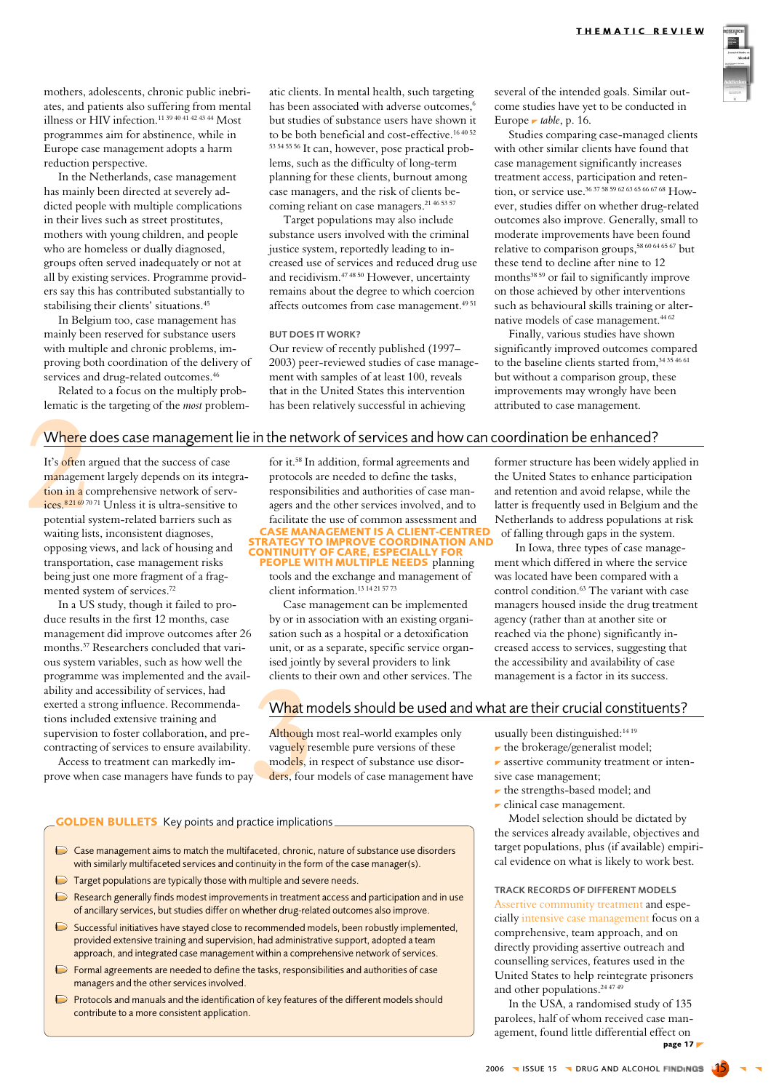mothers, adolescents, chronic public inebriates, and patients also suffering from mental illness or HIV infection.<sup>11 39 40 41 42 43 44</sup> Most programmes aim for abstinence, while in Europe case management adopts a harm reduction perspective.

In the Netherlands, case management has mainly been directed at severely addicted people with multiple complications in their lives such as street prostitutes, mothers with young children, and people who are homeless or dually diagnosed. groups often served inadequately or not at all by existing services. Programme providers say this has contributed substantially to stabilising their clients' situations.<sup>45</sup>

In Belgium too, case management has mainly been reserved for substance users with multiple and chronic problems, improving both coordination of the delivery of services and drug-related outcomes.<sup>46</sup>

Related to a focus on the multiply problematic is the targeting of the *most* problematic clients. In mental health, such targeting has been associated with adverse outcomes,<sup>6</sup> but studies of substance users have shown it to be both beneficial and cost-effective.<sup>16 40 52</sup> 53 54 55 56 It can, however, pose practical problems, such as the difficulty of long-term planning for these clients, burnout among case managers, and the risk of clients becoming reliant on case managers.<sup>21 46 53 57</sup>

Target populations may also include substance users involved with the criminal justice system, reportedly leading to increased use of services and reduced drug use and recidivism.<sup>47 48 50</sup> However, uncertainty remains about the degree to which coercion affects outcomes from case management.<sup>4951</sup>

## **BUT DOES IT WORK?**

Our review of recently published (1997– 2003) peer-reviewed studies of case management with samples of at least 100, reveals that in the United States this intervention has been relatively successful in achieving

several of the intended goals. Similar outcome studies have yet to be conducted in Europe *r* table, p. 16.

Studies comparing case-managed clients with other similar clients have found that case management significantly increases treatment access, participation and retention, or service use 3637 58 59 62 63 65 66 67 68 However, studies differ on whether drug-related outcomes also improve. Generally, small to moderate improvements have been found relative to comparison groups,<sup>58 60 64 65 67</sup> but these tend to decline after nine to 12 months<sup>3859</sup> or fail to significantly improve on those achieved by other interventions such as behavioural skills training or alternative models of case management.<sup>44 62</sup>

Finally, various studies have shown significantly improved outcomes compared to the baseline clients started from, 34 35 46 61 but without a comparison group, these improvements may wrongly have been attributed to case management.

former structure has been widely applied in

the United States to enhance participation

and retention and avoid relapse, while the

latter is frequently used in Belgium and the

Netherlands to address populations at risk

In Iowa, three types of case manage-

of falling through gaps in the system.

ment which differed in where the service

control condition.<sup>63</sup> The variant with case

managers housed inside the drug treatment

was located have been compared with a

agency (rather than at another site or

reached via the phone) significantly increased access to services, suggesting that

the accessibility and availability of case

management is a factor in its success.

# Where does case management lie in the network of services and how can coordination be enhanced?

It's often argued that the success of case management largely depends on its integration in a comprehensive network of services.<sup>82169</sup>7071 Unless it is ultra-sensitive to potential system-related barriers such as waiting lists, inconsistent diagnoses, opposing views, and lack of housing and transportation, case management risks being just one more fragment of a fragmented system of services.<sup>72</sup>

In a US study, though it failed to produce results in the first 12 months, case management did improve outcomes after 26 months.<sup>37</sup> Researchers concluded that various system variables, such as how well the programme was implemented and the availability and accessibility of services, had exerted a strong influence. Recommendations included extensive training and supervision to foster collaboration, and precontracting of services to ensure availability.

Access to treatment can markedly improve when case managers have funds to pay

managers and the other services involved.

contribute to a more consistent application.

**GOLDEN BULLETS** Key points and practice implications

 $\triangleright$  Target populations are typically those with multiple and severe needs.

◯ Case management aims to match the multifaceted, chronic, nature of substance use disorders

Research generally finds modest improvements in treatment access and participation and in use

of ancillary services, but studies differ on whether drug-related outcomes also improve.

Successful initiatives have stayed close to recommended models, been robustly implemented,

provided extensive training and supervision, had administrative support, adopted a team

approach, and integrated case management within a comprehensive network of services.

 $\triangleright$  Formal agreements are needed to define the tasks, responsibilities and authorities of case

Protocols and manuals and the identification of key features of the different models should

with similarly multifaceted services and continuity in the form of the case manager(s).

for it.<sup>58</sup> In addition, formal agreements and protocols are needed to define the tasks. responsibilities and authorities of case managers and the other services involved, and to facilitate the use of common assessment and **CASE MANAGEMENT IS A CLIENT-CENTRED TRATEGY TO IMPROVE COORDINATION AND INUITY OF CARE, ESPECIALLY F PEOPLE WITH MULTIPLE NEEDS** planning

tools and the exchange and management of client information.<sup>13 14</sup>21 5773

Case management can be implemented by or in association with an existing organisation such as a hospital or a detoxification unit, or as a separate, specific service organised jointly by several providers to link clients to their own and other services. The

What models should be used and what are their crucial constituents?

Although most real-world examples only vaguely resemble pure versions of these models, in respect of substance use disorders, four models of case management have usually been distinguished:<sup>1419</sup>

- $\blacktriangleright$  the brokerage/generalist model;
- $\blacktriangleright$  assertive community treatment or intensive case management;
- $\blacktriangleright$  the strengths-based model; and
- $\blacktriangleright$  clinical case management.

Model selection should be dictated by the services already available, objectives and target populations, plus (if available) empirical evidence on what is likely to work best.

**TRACK RECORDS OF DIFFERENT MODELS** Assertive community treatment and especially intensive case management focus on a comprehensive, team approach, and on directly providing assertive outreach and counselling services, features used in the United States to help reintegrate prisoners and other populations.<sup>24 47 49</sup>

In the USA, a randomised study of 135 parolees, half of whom received case management, found little differential effect on page  $17F$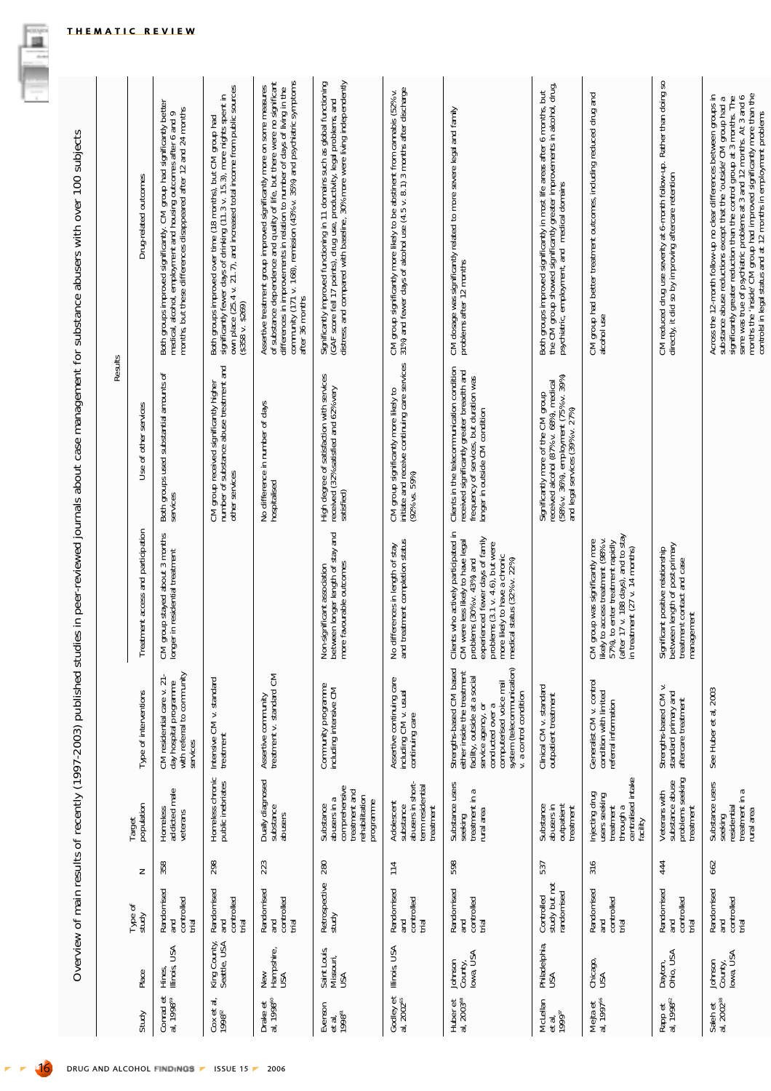|                                          |                                  |                                                 |     |                                                                                             | Overview of main results of recently (1997-2003) published                                                                                                                                                            |                                                                                                                                                                                                                                                 |                                                                                                                                                                       | studies in peer-reviewed journals about case management for substance abusers with over 100 subjects                                                                                                                                                                                                  |
|------------------------------------------|----------------------------------|-------------------------------------------------|-----|---------------------------------------------------------------------------------------------|-----------------------------------------------------------------------------------------------------------------------------------------------------------------------------------------------------------------------|-------------------------------------------------------------------------------------------------------------------------------------------------------------------------------------------------------------------------------------------------|-----------------------------------------------------------------------------------------------------------------------------------------------------------------------|-------------------------------------------------------------------------------------------------------------------------------------------------------------------------------------------------------------------------------------------------------------------------------------------------------|
|                                          |                                  |                                                 |     |                                                                                             |                                                                                                                                                                                                                       |                                                                                                                                                                                                                                                 | Results                                                                                                                                                               |                                                                                                                                                                                                                                                                                                       |
| Study                                    | Place                            | Type of<br>study                                | Z   | population<br>Target                                                                        | Type of interventions                                                                                                                                                                                                 | Treatment access and participation                                                                                                                                                                                                              | Use of other services                                                                                                                                                 | Drug-related outcomes                                                                                                                                                                                                                                                                                 |
| al, 1998 <sup>ss</sup>                   | USA<br>Hines,<br>Illinois,       | Randomised<br>controlled<br><b>Dug</b><br>trial | 358 | Homeless<br>addicted male<br>veterans                                                       | day hospital programme<br>with referral to community<br>$\overline{z}$<br>CM residential care v.<br>services                                                                                                          | CM group stayed about 3 months<br>longer in residential treatment                                                                                                                                                                               | Both groups used substantial amounts of<br>services                                                                                                                   | Both groups improved significantly. CM group had significantly better<br>medical, alcohol, employment and housing outcomes after 6 and 9<br>months, but these differences disappeared after 12 and 24 months                                                                                          |
| ಕ<br>Cox et a<br>1998 <sup>52</sup>      | King County,<br>Seattle, USA     | Randomised<br>controlled<br>gue<br>trial        | 298 | Homeless chronic<br>public inebriates                                                       | Intensive CM v. standard<br>treatment                                                                                                                                                                                 |                                                                                                                                                                                                                                                 | CM group received significantly higher<br>number of substance abuse treatment and<br>other services                                                                   | Both groups improved over time (18 months), but CM group had<br>significantly fewer days of drinking (11.3 v. 15.3), more nights spent in<br>own place (25.4 v. 21.7), and increased total income from public sources<br>(\$358 v. \$269)                                                             |
| Drake et<br>al, 1998 <sup>60</sup>       | New<br>Hampshire,<br>USA         | Randomised<br>controlled<br>trial<br>and        | 223 | Dually diagnosed<br>substance<br>abusers                                                    | Assertive community<br>treatment v. standard CM                                                                                                                                                                       |                                                                                                                                                                                                                                                 | No difference in number of days<br>hospitalised                                                                                                                       | Assertive treatment group improved significantly more on some measures<br>of substance dependence and quality of life, but there were no significant<br>differences in improvements in relation to number of days of living in the<br>c<br>after 36 months                                            |
| Evenson<br>et al.,<br>1998 <sup>61</sup> | Saint Louis,<br>Missouri,<br>USA | Retrospective<br>study                          | 280 | comprehensive<br>treatment and<br>rehabilitation<br>abusers in a<br>programme<br>Substance  | Community programme<br>including intensive CM                                                                                                                                                                         | Non-significant association<br>between longer length of stay and<br>more favourable outcomes                                                                                                                                                    | High degree of satisfaction with services<br>received (32% satisfied and 62% very<br>satisfied)                                                                       | Significantly improved functioning in 11 domains such as global functioning<br>(GAF score fell 17 points), drug use, productivity, legal problems, and<br>distress, and compared with baseline, 30% more were living independently                                                                    |
| Godley et<br>al, 2002 <sup>65</sup>      | Illinois, USA                    | Randomised<br>controlled<br>trial<br>and        | 114 | abusers in short-<br>term residential<br>Adolescent<br>substance<br>treatment               | Assertive continuing care<br>including CM v. usual<br>continuing care                                                                                                                                                 | No differences in length of stay<br>and treatment completion status                                                                                                                                                                             | CM group significantly more likely to<br>initiate and receive continuing care services<br>$(92\%$ vs. $59\%)$                                                         | CM group significantly more likely to be abstinent from cannabis (52% v.<br>31%) and fewer days of alcohol use (4.5 v. 8.1) 3 months after discharge                                                                                                                                                  |
| Huber et<br>al, 2003 <sup>66</sup>       | lowa, USA<br>Johnson<br>County,  | Randomised<br>controlled<br>trial<br>nd<br>and  | 598 | Substance users<br>ß<br>treatment in<br>rural area<br>seeking                               | system (telecommunication)<br>v. a control condition<br>Strengths-based CM based<br>either inside the treatment<br>facility, outside at a social<br>computerised voice mail<br>service agency, or<br>conducted over a | 드<br>experienced fewer days of family<br>Clients who actively participated<br>CM were less likely to have legal<br>problems (3.1 v. 4.6), but were<br>more likely to have a chronic<br>problems (30% v. 43%) and<br>medical status (32% v. 22%) | Clients in the telecommunication condition<br>received significantly greater breadth and<br>frequency of services, but duration was<br>longer in outside CM condition | CM dosage was significantly related to more severe legal and family<br>problems after 12 months                                                                                                                                                                                                       |
| McLellan<br>et al,<br>1999 <sup>37</sup> | Philadelphia,<br>USA             | study but not<br>randomised<br>Controlled       | 537 | Substance<br>abusers in<br>outpatient<br>treatment                                          | Clinical CM v. standard<br>outpatient treatment                                                                                                                                                                       |                                                                                                                                                                                                                                                 | Significantly more of the CM group<br>received alcohol (87% v. 68%), medical<br>(58% v. 36%), employment (75% v. 39%)<br>and legal services (39% v. 27%)              | Both groups improved significantly in most life areas after 6 months, but<br>the CM group showed significantly greater improvements in alcohol, drug,<br>psychiatric, employment, and medical domains                                                                                                 |
| Mejta et<br>al, 1997 <sup>56</sup>       | Chicago,<br>USA                  | Randomised<br>controlled<br>md<br>Fi<br>trial   | 316 | centralised intake<br>facility<br>Injecting drug<br>users seeking<br>treatment<br>through a | Generalist CM v. control<br>condition with limited<br>referral information                                                                                                                                            | (after 17 v. 188 days), and to stay<br>in treatment (27 v. 14 months)<br>likely to access treatment (98% v.<br>CM group was significantly more<br>57%), to enter treatment rapidly                                                              |                                                                                                                                                                       | CM group had better treatment outcomes, including reduced drug and<br>alcohol use                                                                                                                                                                                                                     |
| Rapp et<br>al, 1998 <sup>62</sup>        | Dayton,<br>Ohio, USA             | Randomised<br>controlled<br>and<br>trial        | 444 | substance abuse<br>problems seeking<br>Veterans with<br>treatment                           | Strengths-based CM v.<br>standard primary and<br>aftercare treatment                                                                                                                                                  | Significant positive relationship<br>between length of post-primary<br>treatment contact and case<br>management                                                                                                                                 |                                                                                                                                                                       | CM reduced drug use severity at 6-month follow-up. Rather than doing so<br>directly, it did so by improving aftercare retention                                                                                                                                                                       |
| Saleh et<br>al, 2002 <sup>38</sup>       | Johnson<br>County,<br>Iowa, USA  | Randomised<br>and<br>controlled<br>trial        | 662 | Substance users<br>B<br>residential<br>treatment in a<br>rural area<br>seeking              | See Huber et al, 2003                                                                                                                                                                                                 |                                                                                                                                                                                                                                                 |                                                                                                                                                                       | substance abuse reductions except that the 'outside' CM group had a significantly greater reduction than the control group at 3 months. The same was true of psychatric problems at 3 and 12 mmHvs. At 3 and 6 control by the<br>Across the 12-month follow-up no clear differences between groups in |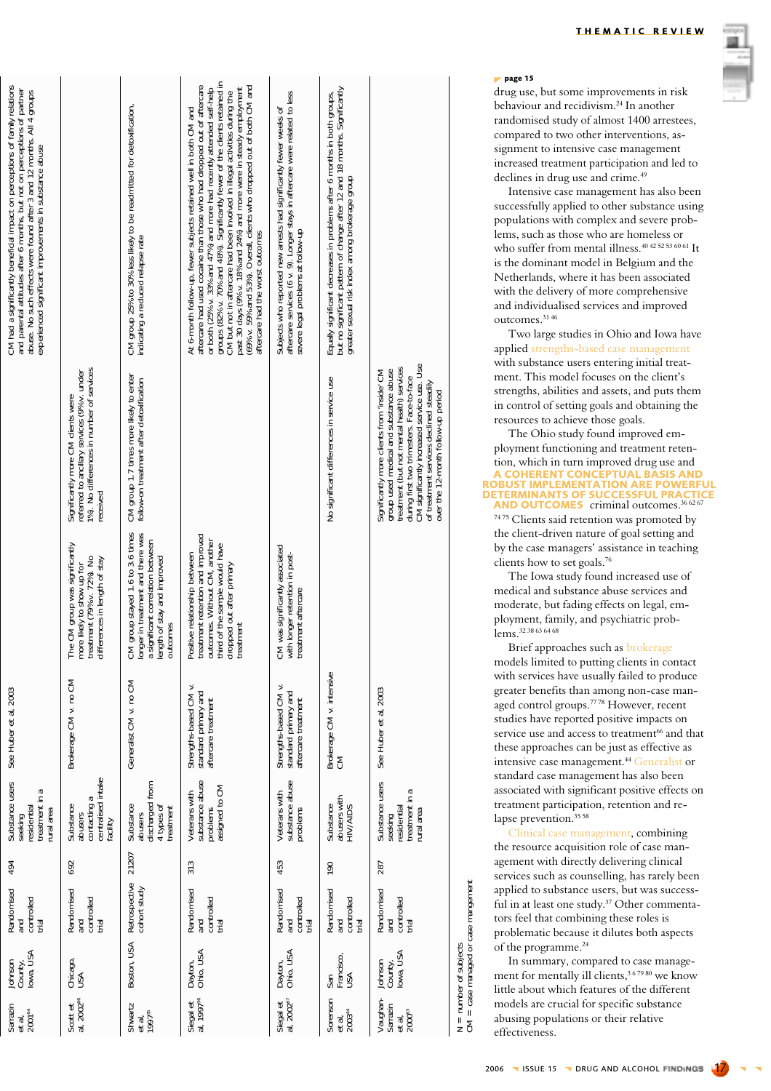| CM had a significantly beneficial impact on perceptions of family relations<br>and parental attitudes after 6 months, but not on perceptions of partner<br>abuse. No such effects were found after 3 and 12 months. All 4 groups<br>experienced significant improvements in substance abuse |                                                                                                                                            | CM group 25% to 30% less likely to be readmitted for detoxification,<br>indicating a reduced relapse rate                                             | groups (82% v. 70% and 48%). Significantly fewer of the clients retained in<br>aftercare had used cocaine than those who had dropped out of aftercare<br>(69% v. 59% and 53%). Overall, clients who dropped out of both CM and<br>or both (25% v. 33% and 47%) and more had recently attended self-help<br>past 30 days (9% v. 18% and 24%) and more were in steady employment<br>CM but not in aftercare had been involved in lilegal activities during the<br>At 6-month follow-up, fewer subjects retained well in both CM and<br>aftercare had the worst outcomes | aftercare services (6 v. 9). Longer stays in aftercare were related to less<br>Subjects who reported new arrests had significantly fewer weeks of<br>severe legal problems at follow-up | but no significant pattern of change after 12 and 18 months. Significantly<br>Equally significant decreases in problems after 6 months in both groups,<br>greater sexual risk index among brokerage group |                                                                                                                                                                                                                                                                                                                  |
|---------------------------------------------------------------------------------------------------------------------------------------------------------------------------------------------------------------------------------------------------------------------------------------------|--------------------------------------------------------------------------------------------------------------------------------------------|-------------------------------------------------------------------------------------------------------------------------------------------------------|-----------------------------------------------------------------------------------------------------------------------------------------------------------------------------------------------------------------------------------------------------------------------------------------------------------------------------------------------------------------------------------------------------------------------------------------------------------------------------------------------------------------------------------------------------------------------|-----------------------------------------------------------------------------------------------------------------------------------------------------------------------------------------|-----------------------------------------------------------------------------------------------------------------------------------------------------------------------------------------------------------|------------------------------------------------------------------------------------------------------------------------------------------------------------------------------------------------------------------------------------------------------------------------------------------------------------------|
|                                                                                                                                                                                                                                                                                             | 1%). No differences in number of services<br>referred to ancillary services (9% v. under<br>Significantly more CM clients were<br>received | CM group 1.7 times more likely to enter<br>follow-on treatment after detoxification                                                                   |                                                                                                                                                                                                                                                                                                                                                                                                                                                                                                                                                                       |                                                                                                                                                                                         | No significant differences in service use                                                                                                                                                                 | CM significantly increased service use. Use<br>treatment (but not mental health) services<br>Significantly more clients from 'inside' CM<br>group used medical and substance abuse<br>during first two trimesters. Face-to-face<br>of treatment services declined steadily<br>over the 12-month follow-up period |
|                                                                                                                                                                                                                                                                                             | The CM group was significantly<br>more likely to show up for<br>treatment (79% v. 72%). No<br>differences in length of stay                | CM group stayed 1.6 to 3.6 times<br>longer in treatment and there was<br>a significant correlation between<br>length of stay and improved<br>outcomes | treatment retention and improved<br>outcomes. Without CM, another<br>third of the sample would have<br>Positive relationship between<br>dropped out after primary<br>treatment                                                                                                                                                                                                                                                                                                                                                                                        | CM was significantly associated<br>with longer retention in post-<br>treatment aftercare                                                                                                |                                                                                                                                                                                                           |                                                                                                                                                                                                                                                                                                                  |
| See Huber et al, 2003                                                                                                                                                                                                                                                                       | Brokerage CM v. no CM                                                                                                                      | Generalist CM v. no CM                                                                                                                                | Strengths-based CM v.<br>standard primary and<br>aftercare treatment                                                                                                                                                                                                                                                                                                                                                                                                                                                                                                  | Strengths-based CM v.<br>standard primary and<br>aftercare treatment                                                                                                                    | Brokerage CM v. intensive<br>CM                                                                                                                                                                           | See Huber et al, 2003                                                                                                                                                                                                                                                                                            |
| Substance users<br>treatment in a<br>residential<br>rural area<br>seeking                                                                                                                                                                                                                   | centralised intake<br>contacting a<br>Substance<br>abusers<br>facility                                                                     | discharged from<br>4 types of<br>Substance<br>treatment<br>abusers                                                                                    | substance abuse<br>assigned to CM<br>Veterans with<br>problems                                                                                                                                                                                                                                                                                                                                                                                                                                                                                                        | substance abuse<br>Veterans with<br>problems                                                                                                                                            | abusers with<br>Substance<br>HIV/AIDS                                                                                                                                                                     | Substance users<br>treatment in a<br>seeking<br>residential<br>rural area                                                                                                                                                                                                                                        |
| 494                                                                                                                                                                                                                                                                                         | 692                                                                                                                                        | 21207                                                                                                                                                 | 313                                                                                                                                                                                                                                                                                                                                                                                                                                                                                                                                                                   | 453                                                                                                                                                                                     | 190                                                                                                                                                                                                       | 287                                                                                                                                                                                                                                                                                                              |
| Randomised<br>controlled<br>and<br>trial                                                                                                                                                                                                                                                    | Randomised<br>controlled<br>and<br>trial                                                                                                   | Retrospective<br>cohort study                                                                                                                         | Randomised<br>controlled<br>trial<br>and                                                                                                                                                                                                                                                                                                                                                                                                                                                                                                                              | Randomised<br>controlled<br>trial<br>and                                                                                                                                                | Randomised<br>controlled<br>trial<br>and                                                                                                                                                                  | Randomised<br>controlled<br>trial<br>and                                                                                                                                                                                                                                                                         |
| County,<br>Iowa, USA<br>Johnson                                                                                                                                                                                                                                                             | Chicago,<br>USA                                                                                                                            | Boston, USA                                                                                                                                           | Ohio, USA<br>Dayton,                                                                                                                                                                                                                                                                                                                                                                                                                                                                                                                                                  | Dayton,<br>Ohio, USA                                                                                                                                                                    | Francisco,<br>USA<br>San                                                                                                                                                                                  | owa, USA<br>lohnson<br>County,                                                                                                                                                                                                                                                                                   |

Siegal et<br>al. 1997<sup>%</sup>

Siegal et<br>al, 2002<sup>67</sup>

Scott et<br>al, 2002<sup>66</sup>

THEMATIC REVIEW

### $\n *page 15*\n$

drug use, but some improvements in risk behaviour and recidivism.<sup>24</sup> In another randomised study of almost 1400 arrestees, compared to two other interventions, assignment to intensive case management increased treatment participation and led to declines in drug use and crime.<sup>49</sup>

Intensive case management has also been successfully applied to other substance using populations with complex and severe problems, such as those who are homeless or who suffer from mental illness.<sup>40 42 52 53 60 61</sup> It is the dominant model in Belgium and the Netherlands, where it has been associated with the delivery of more comprehensive and individualised services and improved outcomes.<sup>3146</sup>

Two large studies in Ohio and Iowa have applied strengths-based case management with substance users entering initial treatment. This model focuses on the client's strengths, abilities and assets, and puts them in control of setting goals and obtaining the resources to achieve those goals.

The Ohio study found improved employment functioning and treatment retention, which in turn improved drug use and A COHERENT CONCEPTUAL BASIS AND<br>ROBUST IMPLEMENTATION ARE POWERFUL **ETERMINANTS OF SUCCE** AND OUTCOMES criminal outcomes.<sup>36 62 67</sup>

7475 Clients said retention was promoted by the client-driven nature of goal setting and by the case managers' assistance in teaching clients how to set goals.<sup>76</sup>

The Iowa study found increased use of medical and substance abuse services and moderate, but fading effects on legal, employment, family, and psychiatric problems. 32 38 63 64 68

Brief approaches such as brokerage models limited to putting clients in contact with services have usually failed to produce greater benefits than among non-case managed control groups.<sup>7778</sup> However, recent studies have reported positive impacts on service use and access to treatment<sup>66</sup> and that these approaches can be just as effective as intensive case management.<sup>44</sup> Generalist or standard case management has also been associated with significant positive effects on treatment participation, retention and relapse prevention.<sup>3558</sup>

Clinical case management, combining the resource acquisition role of case management with directly delivering clinical services such as counselling, has rarely been applied to substance users, but was successful in at least one study.<sup>37</sup> Other commentators feel that combining these roles is problematic because it dilutes both aspects of the programme.<sup>24</sup>

number of subjects<br>= case managed or case mangement

 $\frac{1}{2}$   $\frac{1}{2}$ 

In summary, compared to case management for mentally ill clients,<sup>367980</sup> we know little about which features of the different models are crucial for specific substance abusing populations or their relative effectiveness.

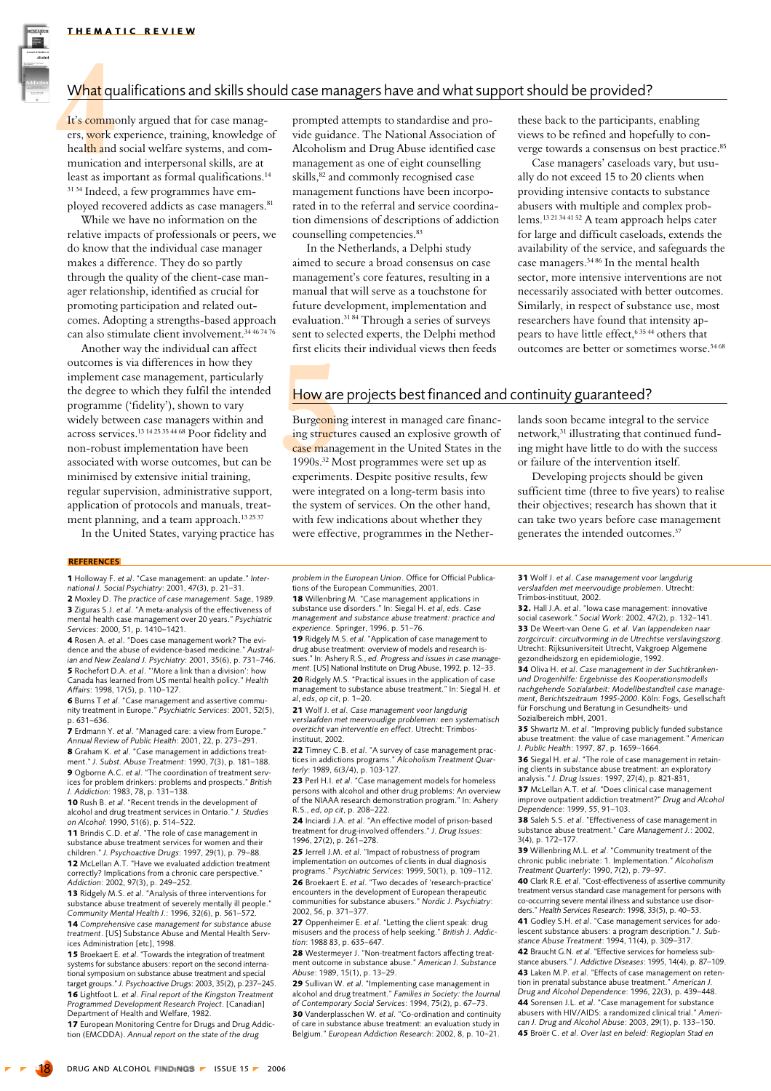

It's commonly argued that for case managers, work experience, training, knowledge of health and social welfare systems, and communication and interpersonal skills, are at least as important as formal qualifications.<sup>14</sup> <sup>31 34</sup> Indeed, a few programmes have employed recovered addicts as case managers.<sup>81</sup>

While we have no information on the relative impacts of professionals or peers, we do know that the individual case manager makes a difference. They do so partly through the quality of the client-case manager relationship, identified as crucial for promoting participation and related outcomes. Adopting a strengths-based approach can also stimulate client involvement.<sup>34 46 74 76</sup>

Another way the individual can affect outcomes is via differences in how they implement case management, particularly the degree to which they fulfil the intended programme ('fidelity'), shown to vary widely between case managers within and across services.<sup>13 14 25 35 44 68</sup> Poor fidelity and non-robust implementation have been associated with worse outcomes, but can be minimised by extensive initial training. regular supervision, administrative support, application of protocols and manuals, treatment planning, and a team approach.<sup>132537</sup>

In the United States, varying practice has

prompted attempts to standardise and provide guidance. The National Association of Alcoholism and Drug Abuse identified case management as one of eight counselling skills,<sup>82</sup> and commonly recognised case management functions have been incorporated in to the referral and service coordination dimensions of descriptions of addiction counselling competencies.<sup>83</sup>

In the Netherlands, a Delphi study aimed to secure a broad consensus on case management's core features, resulting in a manual that will serve as a touchstone for future development, implementation and evaluation.<sup>3184</sup> Through a series of surveys sent to selected experts, the Delphi method first elicits their individual views then feeds these back to the participants, enabling views to be refined and hopefully to converge towards a consensus on best practice.<sup>85</sup>

Case managers' caseloads vary, but usually do not exceed 15 to 20 clients when providing intensive contacts to substance abusers with multiple and complex problems.<sup>13 21 34 41 52</sup> A team approach helps cater for large and difficult caseloads, extends the availability of the service, and safeguards the case managers.<sup>3486</sup> In the mental health sector, more intensive interventions are not necessarily associated with better outcomes. Similarly, in respect of substance use, most researchers have found that intensity appears to have little effect, 635 44 others that outcomes are better or sometimes worse.<sup>3468</sup>

# How are projects best financed and continuity guaranteed?

Burgeoning interest in managed care financing structures caused an explosive growth of case management in the United States in the 1990s.<sup>32</sup> Most programmes were set up as experiments. Despite positive results, few were integrated on a long-term basis into the system of services. On the other hand, with few indications about whether they were effective, programmes in the Netherlands soon became integral to the service network,<sup>31</sup> illustrating that continued funding might have little to do with the success or failure of the intervention itself.

Developing projects should be given sufficient time (three to five years) to realise their objectives; research has shown that it can take two years before case management generates the intended outcomes.<sup>37</sup>

**REFERENCES** 

1 Holloway F. et al. "Case management: an update." International J. Social Psychiatry: 2001, 47(3), p. 21-31.

2 Moxley D. The practice of case management. Sage, 1989. 3 Ziguras S.J. et al. "A meta-analysis of the effectiveness of mental health case management over 20 years." Psychiatric Services: 2000, 51, p. 1410-1421.

4 Rosen A. et al. "Does case management work? The evidence and the abuse of evidence-based medicine." Australian and New Zealand J. Psychiatry: 2001, 35(6), p. 731-746. **5** Rochefort D.A. et al. "More a link than a division': how Canada has learned from US mental health policy." Health Affairs: 1998, 17(5), p. 110-127.

**6 Burns T et al. "Case management and assertive commu-**<br>nity treatment in Europe." *Psychiatric Services*: 2001, 52(5), p. 631-636.

7 Erdmann Y. et al. "Managed care: a view from Europe." Annual Review of Public Health: 2001, 22, p. 273-291. 8 Graham K. et al. "Case management in addictions treatment." J. Subst. Abuse Treatment: 1990, 7(3), p. 181-188. 9 Ogborne A.C. *et al.* "The coordination of treatment services for problem drinkers: problems and prospects." British J. Addiction: 1983, 78, p. 131-138.

10 Rush B. et al. "Recent trends in the development of alcohol and drug treatment services in Ontario." J. Studies on Alcohol: 1990, 51(6), p. 514-522.

11 Brindis C.D. et al. "The role of case management in substance abuse treatment services for women and their children." J. Psychoactive Drugs: 1997, 29(1), p. 79-88. 12 McLellan A.T. "Have we evaluated addiction treatment correctly? Implications from a chronic care perspective. Addiction: 2002, 97(3), p. 249-252.

13 Ridgely M.S. et al. "Analysis of three interventions for substance abuse treatment of severely mentally ill people. Community Mental Health J.: 1996, 32(6), p. 561–572.

14 Comprehensive case management for substance abuse treatment. [US] Substance Abuse and Mental Health Services Administration [etc], 1998. 15 Broekaert E. et al. "Towards the integration of treatment

systems for substance abusers: report on the second international symposium on substance abuse treatment and special target groups." J. Psychoactive Drugs: 2003, 35(2), p.237-245. 16 Lightfoot L. et al. Final report of the Kingston Treatment Programmed Development Research Project, [Canadian] Department of Health and Welfare, 1982.

17 European Monitoring Centre for Drugs and Drug Addiction (EMCDDA). Annual report on the state of the drug

problem in the European Union. Office for Official Publications of the European Communities, 2001

**18** Willenbring M. "Case management applications in<br>substance use disorders." In: Siegal H. et al. eds. Case management and substance abuse treatment: practice and experience. Springer, 1996, p. 51-76.

19 Ridgely M.S. et al. "Application of case management to drug abuse treatment: overview of models and research issues." In: Ashery R.S., ed. Progress and issues in case manage ment. [US] National Institute on Drug Abuse, 1992, p. 12–33. 20 Ridgely M.S. "Practical issues in the application of case management to substance abuse treatment." In: Siegal H. et  $al, eds, op cit, p. 1-20.$ 

21 Wolf J. et al. Case management voor langdurig verslaafden met meervoudige problemen: een systematisch overzicht van interventie en effect. Utrecht: Trimbosinstituut. 2002.

22 Timney C.B. et al. "A survey of case management practices in addictions programs." Alcoholism Treatment Quarterly: 1989, 6(3/4), p. 103-127.

23 Perl H.I. et al. "Case management models for homeless persons with alcohol and other drug problems: An overview of the NIAAA research demonstration program." In: Ashery R.S., ed, op cit, p. 208-222.

24 Inciardi J.A. et al. "An effective model of prison-based treatment for drug-involved offenders." J. Drug Issues:<br>1996, 27(2), p. 261-278.

25 Jerrell J.M. et al. "Impact of robustness of program implementation on outcomes of clients in dual diagnosis programs." Psychiatric Services: 1999, 50(1), p. 109-112.

26 Broekaert E. et al. "Two decades of 'research-practice' encounters in the development of European therapeutic communities for substance abusers." Nordic J. Psychiatry 2002, 56, p. 371-377.

27 Oppenheimer E. et al. "Letting the client speak: drug misusers and the process of help seeking." British J. Addiction: 1988 83, p. 635-647.

28 Westermeyer J. "Non-treatment factors affecting treatment outcome in substance abuse." American J. Substance Abuse: 1989, 15(1), p. 13-29.

29 Sullivan W. et al. "Implementing case management in alcohol and drug treatment." Families in Society: the Journal of Contemporary Social Services: 1994, 75(2), p. 67-73.

30 Vanderplasschen W. et al. "Co-ordination and continuity of care in substance abuse treatment: an evaluation study in Belgium." European Addiction Research: 2002. 8. p. 10-21.

31 Wolf J. et al. Case management voor langdurig verslaafden met meervoudige problemen. Utrecht: Trimbos-instituut. 2002.

**32.** Hall J.A. et al. "lowa case management: innovative social casework." Social Work: 2002, 47(2), p. 132-141. 33 De Weert-van Oene G. et al. Van lappendeken naar zorgcircuit: circuitvorming in de Utrechtse verslavingszorg. Utrecht: Rijksuniversiteit Utrecht, Vakgroep Algemene gezondheidszorg en epidemiologie, 1992.

34 Oliva H. et al. Case management in der Suchtkrankenund Drogenhilfe: Ergebnisse des Kooperationsmodells nachgehende Sozialarbeit: Modellbestandteil case manage ment, Berichtszeitraum 1995-2000. Köln: Fogs, Gesellschaft für Forschung und Beratung in Gesundheits- und Sozialbereich mbH. 2001.

35 Shwartz M. et al. "Improving publicly funded substance abuse treatment: the value of case management." American J. Public Health: 1997, 87, p. 1659-1664.

36 Siegal H. et al. "The role of case management in retaining clients in substance abuse treatment: an exploratory analysis." J. Drug Issues: 1997, 27(4), p. 821-831,

37 McLellan A.T. et al. "Does clinical case management improve outpatient addiction treatment?" Drug and Alcohol Dependence: 1999, 55, 91-103.

38 Saleh S.S. et al. "Effectiveness of case management in substance abuse treatment." Care Management J.: 2002, 3(4), p. 172-177.

39 Willenbring M.L. et al. "Community treatment of the chronic public inebriate: 1. Implementation." Alcoholism Treatment Quarterly: 1990, 7(2), p. 79-97.

40 Clark R.E. et al. "Cost-effectiveness of assertive community treatment versus standard case management for persons with co-occurring severe mental illness and substance use disorders." Health Services Research: 1998, 33(5), p. 40-53. 41 Godley S.H. et al. "Case management services for adolescent substance abusers: a program description." J. Sub-

stance Abuse Treatment: 1994, 11(4), p. 309-317. 42 Braucht G.N. et al. "Effective services for homeless substance abusers." J. Addictive Diseases: 1995, 14(4), p. 87-109. **43** Laken M.P. et al. "Effects of case management on retention in prenatal substance abuse treatment." American J. Drug and Alcohol Dependence: 1996, 22(3), p. 439-448.

44 Sorensen J.L. et al. "Case management for substance abusers with HIV/AIDS: a randomized clinical trial " American J. Drug and Alcohol Abuse: 2003, 29(1), p. 133–150. 45 Broër C, et al. Over last en beleid: Regioplan Stad en